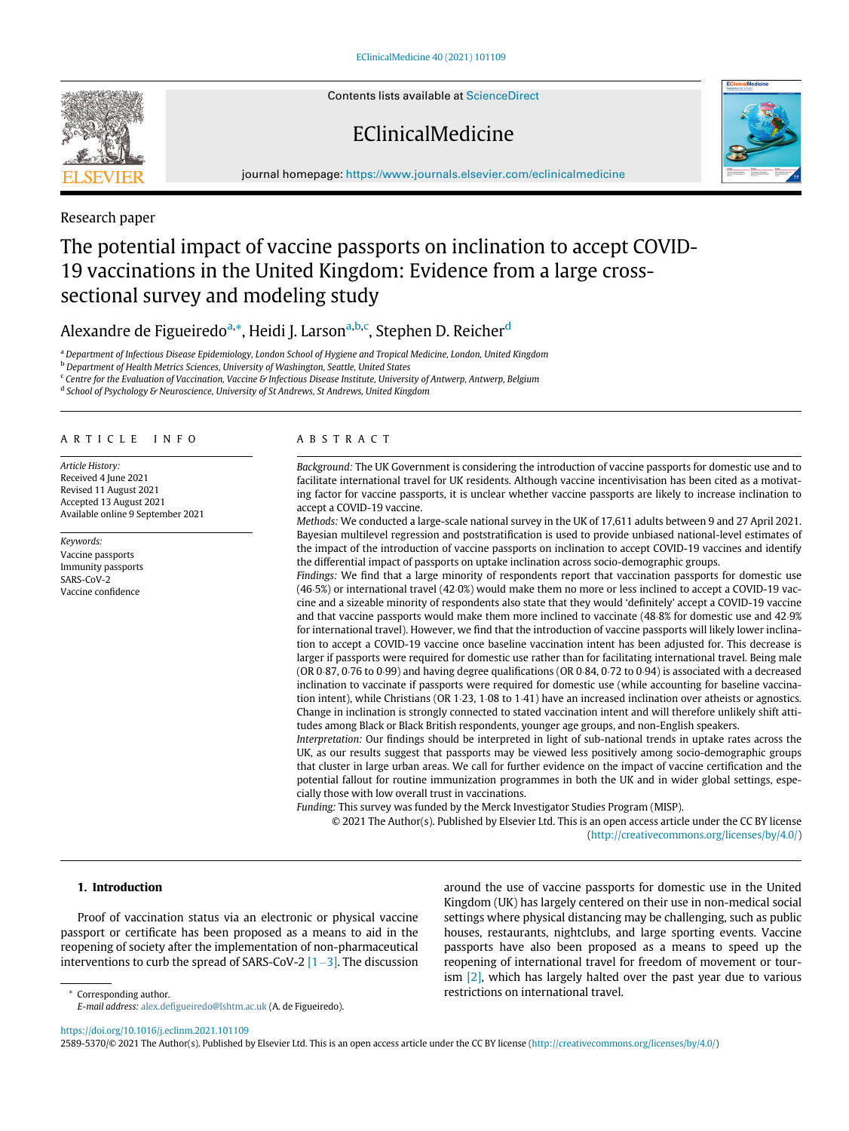Contents lists available at [ScienceDirect](http://www.ScienceDirect.com)

# EClinicalMedicine



journal homepage: [https://www.journals.elsevier.com/eclinicalmedicine](http://https://www.journals.elsevier.com/eclinicalmedicine)



### Research paper

# The potential impact of vaccine passports on inclination to accept COVID-19 vaccinations in the United Kingdom: Evidence from a large crosssectional survey and modeling study

## Alexandre de Figueiredo<sup>[a,](#page-0-0)</sup>[\\*,](#page-0-1) Heidi J. Larson<sup>a,[b](#page-0-2)[,c](#page-0-3)</sup>, Stephen D. Reicher<sup>[d](#page-0-4)</sup>

<sup>a</sup> Department of Infectious Disease Epidemiology, London School of Hygiene and Tropical Medicine, London, United Kingdom

<span id="page-0-2"></span><span id="page-0-0"></span>**b** Department of Health Metrics Sciences, University of Washington, Seattle, United States

<span id="page-0-4"></span><span id="page-0-3"></span><sup>c</sup> Centre for the Evaluation of Vaccination, Vaccine & Infectious Disease Institute, University of Antwerp, Antwerp, Belgium

<sup>d</sup> School of Psychology & Neuroscience, University of St Andrews, St Andrews, United Kingdom

#### ARTICLE INFO

Article History: Received 4 June 2021 Revised 11 August 2021 Accepted 13 August 2021 Available online 9 September 2021

Keywords: Vaccine passports Immunity passports SARS-CoV-2 Vaccine confidence

#### ABSTRACT

Background: The UK Government is considering the introduction of vaccine passports for domestic use and to facilitate international travel for UK residents. Although vaccine incentivisation has been cited as a motivating factor for vaccine passports, it is unclear whether vaccine passports are likely to increase inclination to accept a COVID-19 vaccine.

Methods: We conducted a large-scale national survey in the UK of 17,611 adults between 9 and 27 April 2021. Bayesian multilevel regression and poststratification is used to provide unbiased national-level estimates of the impact of the introduction of vaccine passports on inclination to accept COVID-19 vaccines and identify the differential impact of passports on uptake inclination across socio-demographic groups.

Findings: We find that a large minority of respondents report that vaccination passports for domestic use (46.5%) or international travel (42.0%) would make them no more or less inclined to accept a COVID-19 vaccine and a sizeable minority of respondents also state that they would 'definitely' accept a COVID-19 vaccine and that vaccine passports would make them more inclined to vaccinate  $(48.8%$  for domestic use and  $42.9%$ for international travel). However, we find that the introduction of vaccine passports will likely lower inclination to accept a COVID-19 vaccine once baseline vaccination intent has been adjusted for. This decrease is larger if passports were required for domestic use rather than for facilitating international travel. Being male (OR  $0.87$ ,  $0.76$  to  $0.99$ ) and having degree qualifications (OR  $0.84$ ,  $0.72$  to  $0.94$ ) is associated with a decreased inclination to vaccinate if passports were required for domestic use (while accounting for baseline vaccination intent), while Christians (OR  $1·23$ ,  $1·08$  to  $1·41$ ) have an increased inclination over atheists or agnostics. Change in inclination is strongly connected to stated vaccination intent and will therefore unlikely shift attitudes among Black or Black British respondents, younger age groups, and non-English speakers.

Interpretation: Our findings should be interpreted in light of sub-national trends in uptake rates across the UK, as our results suggest that passports may be viewed less positively among socio-demographic groups that cluster in large urban areas. We call for further evidence on the impact of vaccine certification and the potential fallout for routine immunization programmes in both the UK and in wider global settings, especially those with low overall trust in vaccinations.

Funding: This survey was funded by the Merck Investigator Studies Program (MISP).

© 2021 The Author(s). Published by Elsevier Ltd. This is an open access article under the CC BY license ([http://creativecommons.org/licenses/by/4.0/\)](http://creativecommons.org/licenses/by/4.0/)

#### 1. Introduction

Proof of vaccination status via an electronic or physical vaccine passport or certificate has been proposed as a means to aid in the reopening of society after the implementation of non-pharmaceutical interventions to curb the spread of SARS-CoV-2  $[1-3]$  $[1-3]$ . The discussion around the use of vaccine passports for domestic use in the United Kingdom (UK) has largely centered on their use in non-medical social settings where physical distancing may be challenging, such as public houses, restaurants, nightclubs, and large sporting events. Vaccine passports have also been proposed as a means to speed up the reopening of international travel for freedom of movement or tourism [\[2\],](#page-9-1) which has largely halted over the past year due to various

<span id="page-0-1"></span>Corresponding author. The corresponding author. The corresponding author. E-mail address: alex.defi[gueiredo@lshtm.ac.uk](mailto:alex.defigueiredo@lshtm.ac.uk) (A. de Figueiredo).

<https://doi.org/10.1016/j.eclinm.2021.101109>

2589-5370/© 2021 The Author(s). Published by Elsevier Ltd. This is an open access article under the CC BY license [\(http://creativecommons.org/licenses/by/4.0/](http://creativecommons.org/licenses/by/4.0/))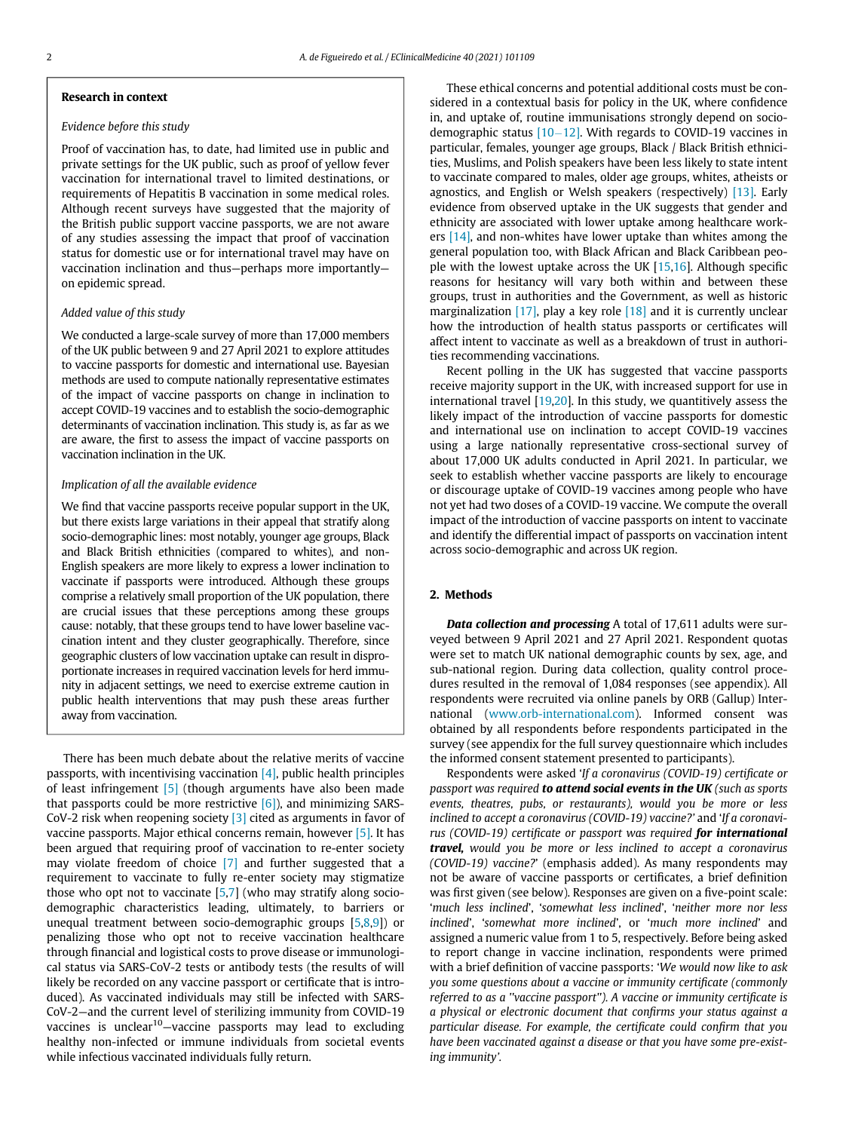#### Research in context

#### Evidence before this study

Proof of vaccination has, to date, had limited use in public and private settings for the UK public, such as proof of yellow fever vaccination for international travel to limited destinations, or requirements of Hepatitis B vaccination in some medical roles. Although recent surveys have suggested that the majority of the British public support vaccine passports, we are not aware of any studies assessing the impact that proof of vaccination status for domestic use or for international travel may have on vaccination inclination and thus—perhaps more importantly on epidemic spread.

#### Added value of this study

We conducted a large-scale survey of more than 17,000 members of the UK public between 9 and 27 April 2021 to explore attitudes to vaccine passports for domestic and international use. Bayesian methods are used to compute nationally representative estimates of the impact of vaccine passports on change in inclination to accept COVID-19 vaccines and to establish the socio-demographic determinants of vaccination inclination. This study is, as far as we are aware, the first to assess the impact of vaccine passports on vaccination inclination in the UK.

#### Implication of all the available evidence

We find that vaccine passports receive popular support in the UK, but there exists large variations in their appeal that stratify along socio-demographic lines: most notably, younger age groups, Black and Black British ethnicities (compared to whites), and non-English speakers are more likely to express a lower inclination to vaccinate if passports were introduced. Although these groups comprise a relatively small proportion of the UK population, there are crucial issues that these perceptions among these groups cause: notably, that these groups tend to have lower baseline vaccination intent and they cluster geographically. Therefore, since geographic clusters of low vaccination uptake can result in disproportionate increases in required vaccination levels for herd immunity in adjacent settings, we need to exercise extreme caution in public health interventions that may push these areas further away from vaccination.

There has been much debate about the relative merits of vaccine passports, with incentivising vaccination [\[4\],](#page-9-2) public health principles of least infringement [\[5\]](#page-9-3) (though arguments have also been made that passports could be more restrictive  $[6]$ ), and minimizing SARS-CoV-2 risk when reopening society [\[3\]](#page-9-5) cited as arguments in favor of vaccine passports. Major ethical concerns remain, however [\[5\].](#page-9-3) It has been argued that requiring proof of vaccination to re-enter society may violate freedom of choice [\[7\]](#page-9-6) and further suggested that a requirement to vaccinate to fully re-enter society may stigmatize those who opt not to vaccinate [[5](#page-9-3)[,7\]](#page-9-6) (who may stratify along sociodemographic characteristics leading, ultimately, to barriers or unequal treatment between socio-demographic groups [[5](#page-9-3)[,8,](#page-9-7)[9](#page-9-8)]) or penalizing those who opt not to receive vaccination healthcare through financial and logistical costs to prove disease or immunological status via SARS-CoV-2 tests or antibody tests (the results of will likely be recorded on any vaccine passport or certificate that is introduced). As vaccinated individuals may still be infected with SARS-CoV-2—and the current level of sterilizing immunity from COVID-19 vaccines is unclear<sup>10</sup>-vaccine passports may lead to excluding healthy non-infected or immune individuals from societal events while infectious vaccinated individuals fully return.

These ethical concerns and potential additional costs must be considered in a contextual basis for policy in the UK, where confidence in, and uptake of, routine immunisations strongly depend on sociodemographic status  $[10-12]$  $[10-12]$ . With regards to COVID-19 vaccines in particular, females, younger age groups, Black / Black British ethnicities, Muslims, and Polish speakers have been less likely to state intent to vaccinate compared to males, older age groups, whites, atheists or agnostics, and English or Welsh speakers (respectively) [\[13\].](#page-9-10) Early evidence from observed uptake in the UK suggests that gender and ethnicity are associated with lower uptake among healthcare workers [\[14\]](#page-9-11), and non-whites have lower uptake than whites among the general population too, with Black African and Black Caribbean people with the lowest uptake across the UK  $[15,16]$  $[15,16]$  $[15,16]$ . Although specific reasons for hesitancy will vary both within and between these groups, trust in authorities and the Government, as well as historic marginalization  $[17]$ , play a key role  $[18]$  and it is currently unclear how the introduction of health status passports or certificates will affect intent to vaccinate as well as a breakdown of trust in authorities recommending vaccinations.

Recent polling in the UK has suggested that vaccine passports receive majority support in the UK, with increased support for use in international travel [\[19](#page-9-16),[20](#page-9-17)]. In this study, we quantitively assess the likely impact of the introduction of vaccine passports for domestic and international use on inclination to accept COVID-19 vaccines using a large nationally representative cross-sectional survey of about 17,000 UK adults conducted in April 2021. In particular, we seek to establish whether vaccine passports are likely to encourage or discourage uptake of COVID-19 vaccines among people who have not yet had two doses of a COVID-19 vaccine. We compute the overall impact of the introduction of vaccine passports on intent to vaccinate and identify the differential impact of passports on vaccination intent across socio-demographic and across UK region.

#### 2. Methods

Data collection and processing A total of 17,611 adults were surveyed between 9 April 2021 and 27 April 2021. Respondent quotas were set to match UK national demographic counts by sex, age, and sub-national region. During data collection, quality control procedures resulted in the removal of 1,084 responses (see appendix). All respondents were recruited via online panels by ORB (Gallup) International [\(www.orb-international.com](http://www.orb-international.com)). Informed consent was obtained by all respondents before respondents participated in the survey (see appendix for the full survey questionnaire which includes the informed consent statement presented to participants).

Respondents were asked 'If a coronavirus (COVID-19) certificate or passport was required to attend social events in the UK (such as sports events, theatres, pubs, or restaurants), would you be more or less inclined to accept a coronavirus (COVID-19) vaccine?' and 'If a coronavirus (COVID-19) certificate or passport was required for international travel, would you be more or less inclined to accept a coronavirus (COVID-19) vaccine?' (emphasis added). As many respondents may not be aware of vaccine passports or certificates, a brief definition was first given (see below). Responses are given on a five-point scale: 'much less inclined', 'somewhat less inclined', 'neither more nor less inclined', 'somewhat more inclined', or 'much more inclined' and assigned a numeric value from 1 to 5, respectively. Before being asked to report change in vaccine inclination, respondents were primed with a brief definition of vaccine passports: 'We would now like to ask you some questions about a vaccine or immunity certificate (commonly referred to as a ''vaccine passport''). A vaccine or immunity certificate is a physical or electronic document that confirms your status against a particular disease. For example, the certificate could confirm that you have been vaccinated against a disease or that you have some pre-existing immunity'.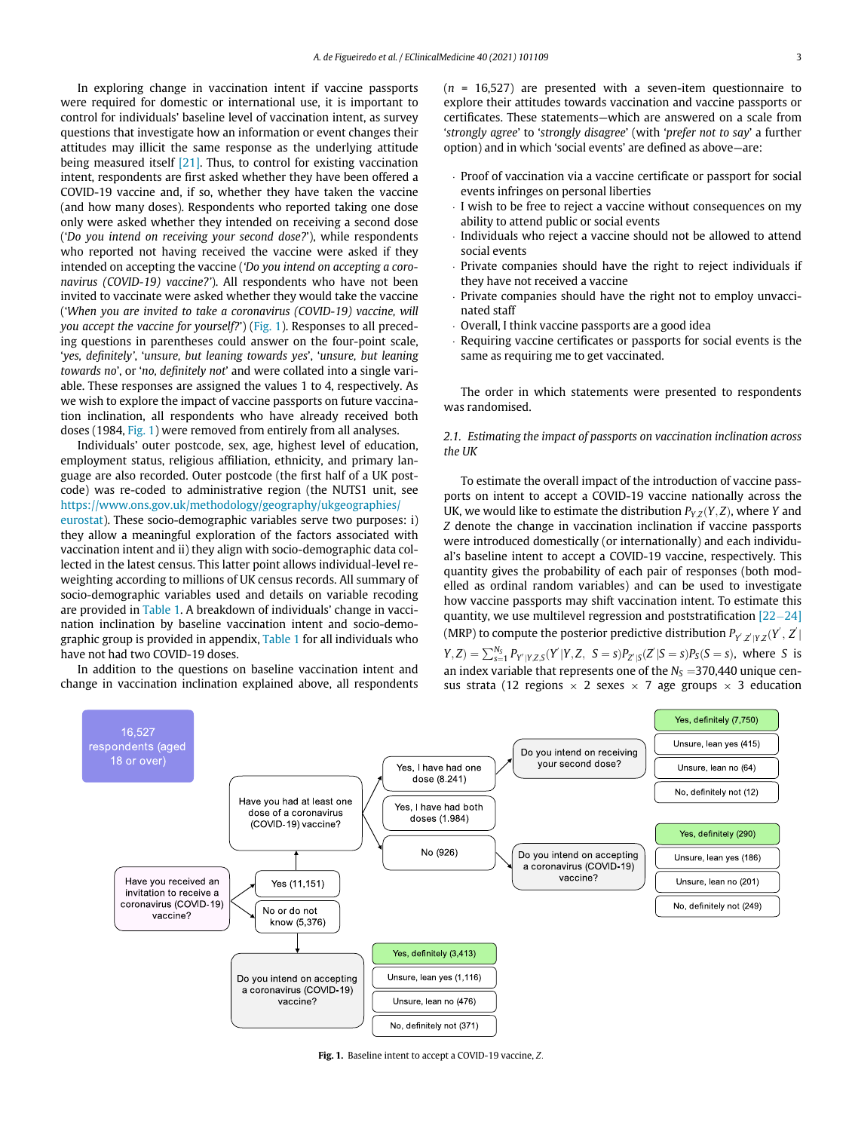In exploring change in vaccination intent if vaccine passports were required for domestic or international use, it is important to control for individuals' baseline level of vaccination intent, as survey questions that investigate how an information or event changes their attitudes may illicit the same response as the underlying attitude being measured itself [\[21\]](#page-9-18). Thus, to control for existing vaccination intent, respondents are first asked whether they have been offered a COVID-19 vaccine and, if so, whether they have taken the vaccine (and how many doses). Respondents who reported taking one dose only were asked whether they intended on receiving a second dose ('Do you intend on receiving your second dose?'), while respondents who reported not having received the vaccine were asked if they intended on accepting the vaccine ('Do you intend on accepting a coronavirus (COVID-19) vaccine?'). All respondents who have not been invited to vaccinate were asked whether they would take the vaccine ('When you are invited to take a coronavirus (COVID-19) vaccine, will you accept the vaccine for yourself?') [\(Fig. 1\)](#page-2-0). Responses to all preceding questions in parentheses could answer on the four-point scale, 'yes, definitely', 'unsure, but leaning towards yes', 'unsure, but leaning towards no', or 'no, definitely not' and were collated into a single variable. These responses are assigned the values 1 to 4, respectively. As we wish to explore the impact of vaccine passports on future vaccination inclination, all respondents who have already received both doses (1984, [Fig. 1\)](#page-2-0) were removed from entirely from all analyses.

Individuals' outer postcode, sex, age, highest level of education, employment status, religious affiliation, ethnicity, and primary language are also recorded. Outer postcode (the first half of a UK postcode) was re-coded to administrative region (the NUTS1 unit, see [https://www.ons.gov.uk/methodology/geography/ukgeographies/](https://www.ons.gov.uk/methodology/geography/ukgeographies/eurostat) [eurostat\)](https://www.ons.gov.uk/methodology/geography/ukgeographies/eurostat). These socio-demographic variables serve two purposes: i)

they allow a meaningful exploration of the factors associated with vaccination intent and ii) they align with socio-demographic data collected in the latest census. This latter point allows individual-level reweighting according to millions of UK census records. All summary of socio-demographic variables used and details on variable recoding are provided in [Table 1.](#page-3-0) A breakdown of individuals' change in vaccination inclination by baseline vaccination intent and socio-demographic group is provided in appendix, [Table 1](#page-3-0) for all individuals who have not had two COVID-19 doses.

<span id="page-2-0"></span>In addition to the questions on baseline vaccination intent and change in vaccination inclination explained above, all respondents  $(n = 16,527)$  are presented with a seven-item questionnaire to explore their attitudes towards vaccination and vaccine passports or certificates. These statements—which are answered on a scale from 'strongly agree' to 'strongly disagree' (with 'prefer not to say' a further option) and in which 'social events' are defined as above—are:

- ¢ Proof of vaccination via a vaccine certificate or passport for social events infringes on personal liberties
- ¢ I wish to be free to reject a vaccine without consequences on my ability to attend public or social events
- ¢ Individuals who reject a vaccine should not be allowed to attend social events
- ¢ Private companies should have the right to reject individuals if they have not received a vaccine
- ¢ Private companies should have the right not to employ unvaccinated staff
- ¢ Overall, I think vaccine passports are a good idea
- ¢ Requiring vaccine certificates or passports for social events is the same as requiring me to get vaccinated.

The order in which statements were presented to respondents was randomised.

### 2.1. Estimating the impact of passports on vaccination inclination across the UK

To estimate the overall impact of the introduction of vaccine passports on intent to accept a COVID-19 vaccine nationally across the UK, we would like to estimate the distribution  $P_{Y,Z}(Y,Z)$ , where Y and Z denote the change in vaccination inclination if vaccine passports were introduced domestically (or internationally) and each individual's baseline intent to accept a COVID-19 vaccine, respectively. This quantity gives the probability of each pair of responses (both modelled as ordinal random variables) and can be used to investigate how vaccine passports may shift vaccination intent. To estimate this quantity, we use multilevel regression and poststratification  $[22-24]$  $[22-24]$  $[22-24]$ (MRP) to compute the posterior predictive distribution  $P_{Y^{'},Z^{'}|Y,Z}(Y^{'},Z^{'})$  $(Y, Z) = \sum_{s=1}^{N_S} P_{Y'|YZ,S}(Y'|Y, Z, S = s)P_{Z'|S}(Z'|S = s)P_S(S = s)$ , where S is an index variable that represents one of the  $N<sub>S</sub> = 370,440$  unique census strata (12 regions  $\times$  2 sexes  $\times$  7 age groups  $\times$  3 education



Fig. 1. Baseline intent to accept a COVID-19 vaccine, Z: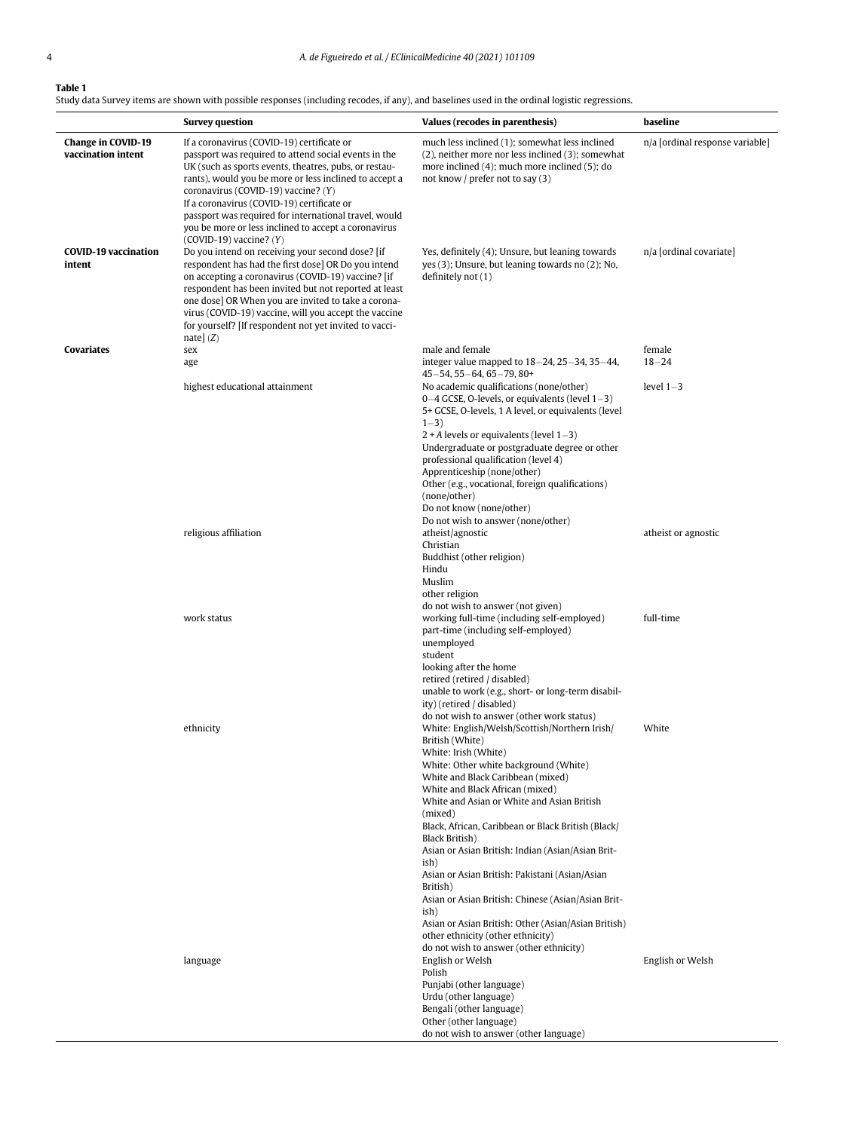### <span id="page-3-0"></span>Table 1

Study data Survey items are shown with possible responses (including recodes, if any), and baselines used in the ordinal logistic regressions.

|                                                 | <b>Survey question</b>                                                                                                                                                                                                                                                                                                                                                                                                                                     | Values (recodes in parenthesis)                                                                                                                                                                                                                                                                                                                                                                  | baseline                        |
|-------------------------------------------------|------------------------------------------------------------------------------------------------------------------------------------------------------------------------------------------------------------------------------------------------------------------------------------------------------------------------------------------------------------------------------------------------------------------------------------------------------------|--------------------------------------------------------------------------------------------------------------------------------------------------------------------------------------------------------------------------------------------------------------------------------------------------------------------------------------------------------------------------------------------------|---------------------------------|
| <b>Change in COVID-19</b><br>vaccination intent | If a coronavirus (COVID-19) certificate or<br>passport was required to attend social events in the<br>UK (such as sports events, theatres, pubs, or restau-<br>rants), would you be more or less inclined to accept a<br>coronavirus (COVID-19) vaccine? (Y)<br>If a coronavirus (COVID-19) certificate or<br>passport was required for international travel, would<br>you be more or less inclined to accept a coronavirus<br>$(COVID-19)$ vaccine? $(Y)$ | much less inclined (1); somewhat less inclined<br>(2), neither more nor less inclined (3); somewhat<br>more inclined $(4)$ ; much more inclined $(5)$ ; do<br>not know / prefer not to say $(3)$                                                                                                                                                                                                 | n/a [ordinal response variable] |
| <b>COVID-19 vaccination</b><br>intent           | Do you intend on receiving your second dose? [if<br>respondent has had the first dose] OR Do you intend<br>on accepting a coronavirus (COVID-19) vaccine? [if<br>respondent has been invited but not reported at least<br>one dose] OR When you are invited to take a corona-<br>virus (COVID-19) vaccine, will you accept the vaccine<br>for yourself? [If respondent not yet invited to vacci-<br>nate] $(Z)$                                            | Yes, definitely (4); Unsure, but leaning towards<br>yes (3); Unsure, but leaning towards no (2); No.<br>definitely not $(1)$                                                                                                                                                                                                                                                                     | n/a [ordinal covariate]         |
| Covariates                                      | sex                                                                                                                                                                                                                                                                                                                                                                                                                                                        | male and female                                                                                                                                                                                                                                                                                                                                                                                  | female                          |
|                                                 | age                                                                                                                                                                                                                                                                                                                                                                                                                                                        | integer value mapped to $18-24$ , $25-34$ , $35-44$ ,<br>$45 - 54$ , 55 $-64$ , 65 $-79$ , 80+                                                                                                                                                                                                                                                                                                   | $18 - 24$                       |
|                                                 | highest educational attainment                                                                                                                                                                                                                                                                                                                                                                                                                             | No academic qualifications (none/other)<br>$0-4$ GCSE, O-levels, or equivalents (level $1-3$ )<br>5+ GCSE, O-levels, 1 A level, or equivalents (level<br>$1 - 3$ )<br>$2 + A$ levels or equivalents (level $1 - 3$ )<br>Undergraduate or postgraduate degree or other<br>professional qualification (level 4)<br>Apprenticeship (none/other)<br>Other (e.g., vocational, foreign qualifications) | level $1-3$                     |
|                                                 |                                                                                                                                                                                                                                                                                                                                                                                                                                                            | (none/other)<br>Do not know (none/other)                                                                                                                                                                                                                                                                                                                                                         |                                 |
|                                                 | religious affiliation                                                                                                                                                                                                                                                                                                                                                                                                                                      | Do not wish to answer (none/other)<br>atheist/agnostic<br>Christian<br>Buddhist (other religion)<br>Hindu                                                                                                                                                                                                                                                                                        | atheist or agnostic             |
|                                                 | work status                                                                                                                                                                                                                                                                                                                                                                                                                                                | Muslim<br>other religion<br>do not wish to answer (not given)<br>working full-time (including self-employed)<br>part-time (including self-employed)<br>unemployed<br>student                                                                                                                                                                                                                     | full-time                       |
|                                                 | ethnicity                                                                                                                                                                                                                                                                                                                                                                                                                                                  | looking after the home<br>retired (retired / disabled)<br>unable to work (e.g., short- or long-term disabil-<br>ity) (retired / disabled)<br>do not wish to answer (other work status)<br>White: English/Welsh/Scottish/Northern Irish/<br>British (White)<br>White: Irish (White)                                                                                                               | White                           |
|                                                 |                                                                                                                                                                                                                                                                                                                                                                                                                                                            | White: Other white background (White)<br>White and Black Caribbean (mixed)<br>White and Black African (mixed)<br>White and Asian or White and Asian British<br>(mixed)<br>Black, African, Caribbean or Black British (Black/<br>Black British)<br>Asian or Asian British: Indian (Asian/Asian Brit-<br>ish)                                                                                      |                                 |
|                                                 |                                                                                                                                                                                                                                                                                                                                                                                                                                                            | Asian or Asian British: Pakistani (Asian/Asian<br>British)<br>Asian or Asian British: Chinese (Asian/Asian Brit-<br>ish)<br>Asian or Asian British: Other (Asian/Asian British)<br>other ethnicity (other ethnicity)<br>do not wish to answer (other ethnicity)                                                                                                                                  |                                 |
|                                                 | language                                                                                                                                                                                                                                                                                                                                                                                                                                                   | English or Welsh<br>Polish<br>Punjabi (other language)<br>Urdu (other language)<br>Bengali (other language)<br>Other (other language)<br>do not wish to answer (other language)                                                                                                                                                                                                                  | English or Welsh                |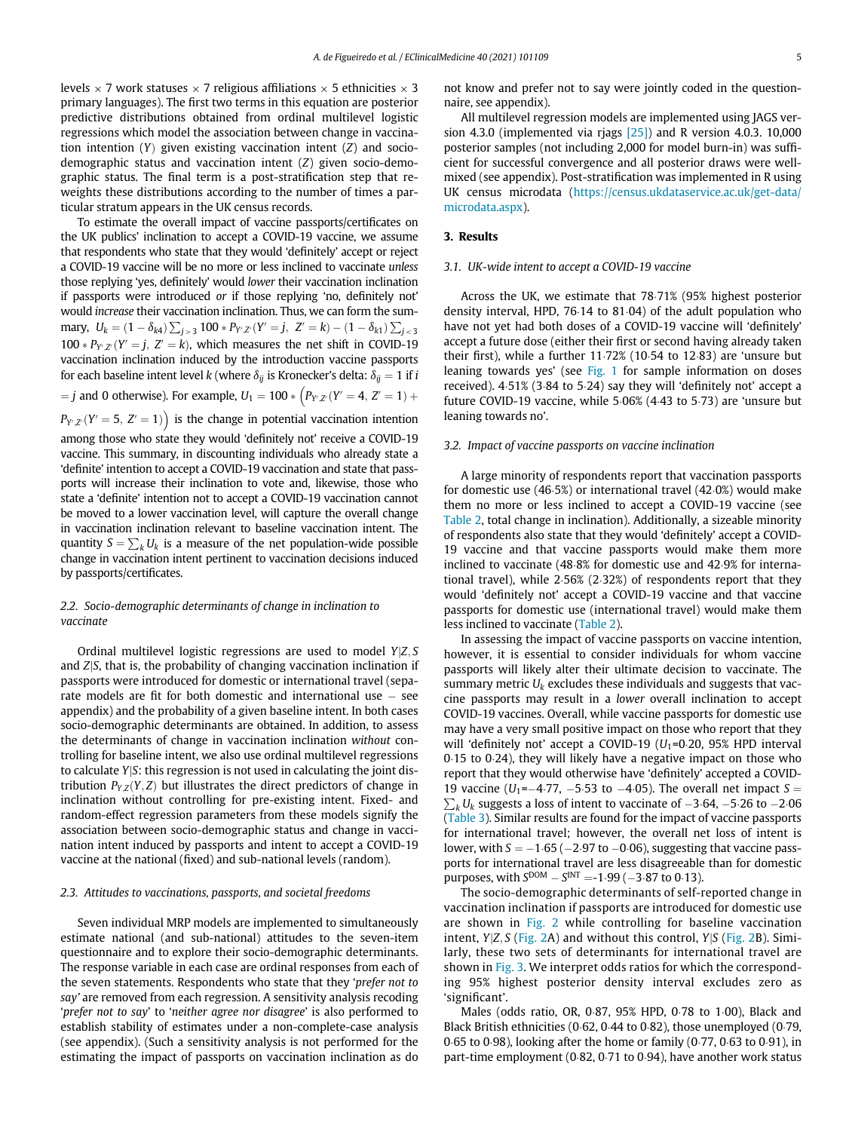levels  $\times$  7 work statuses  $\times$  7 religious affiliations  $\times$  5 ethnicities  $\times$  3 primary languages). The first two terms in this equation are posterior predictive distributions obtained from ordinal multilevel logistic regressions which model the association between change in vaccination intention  $(Y)$  given existing vaccination intent  $(Z)$  and sociodemographic status and vaccination intent (Z) given socio-demographic status. The final term is a post-stratification step that reweights these distributions according to the number of times a particular stratum appears in the UK census records.

To estimate the overall impact of vaccine passports/certificates on the UK publics' inclination to accept a COVID-19 vaccine, we assume that respondents who state that they would 'definitely' accept or reject a COVID-19 vaccine will be no more or less inclined to vaccinate unless those replying 'yes, definitely' would lower their vaccination inclination if passports were introduced or if those replying 'no, definitely not' would increase their vaccination inclination. Thus, we can form the summary,  $U_k = (1 - \delta_{k4}) \sum_{j > 3} 100 * P_{Y',Z'}(Y' = j, Z' = k) - (1 - \delta_{k1}) \sum_{j < 3}$  $100 * P_{Y,Z}(Y' = j, Z' = k)$ , which measures the net shift in COVID-19 vaccination inclination induced by the introduction vaccine passports for each baseline intent level k (where  $\delta_{ij}$  is Kronecker's delta:  $\delta_{ij} = 1$  if i  $j = j$  and 0 otherwise). For example,  $U_1 = 100 * \left( P_{Y',Z'}(Y' = 4, Z' = 1) + \right.$ 

 $P_{Y'Z'}(Y' = 5, Z' = 1)$  is the change in potential vaccination intention among those who state they would 'definitely not' receive a COVID-19 vaccine. This summary, in discounting individuals who already state a 'definite' intention to accept a COVID-19 vaccination and state that passports will increase their inclination to vote and, likewise, those who state a 'definite' intention not to accept a COVID-19 vaccination cannot be moved to a lower vaccination level, will capture the overall change in vaccination inclination relevant to baseline vaccination intent. The quantity  $S = \sum_k U_k$  is a measure of the net population-wide possible change in vaccination intent pertinent to vaccination decisions induced by passports/certificates.

### 2.2. Socio-demographic determinants of change in inclination to vaccinate

Ordinal multilevel logistic regressions are used to model  $Y|Z, S$ and  $Z|S$ , that is, the probability of changing vaccination inclination if passports were introduced for domestic or international travel (separate models are fit for both domestic and international use  $-$  see appendix) and the probability of a given baseline intent. In both cases socio-demographic determinants are obtained. In addition, to assess the determinants of change in vaccination inclination without controlling for baseline intent, we also use ordinal multilevel regressions to calculate YjS: this regression is not used in calculating the joint distribution  $P_{Y,Z}(Y,Z)$  but illustrates the direct predictors of change in inclination without controlling for pre-existing intent. Fixed- and random-effect regression parameters from these models signify the association between socio-demographic status and change in vaccination intent induced by passports and intent to accept a COVID-19 vaccine at the national (fixed) and sub-national levels (random).

#### 2.3. Attitudes to vaccinations, passports, and societal freedoms

Seven individual MRP models are implemented to simultaneously estimate national (and sub-national) attitudes to the seven-item questionnaire and to explore their socio-demographic determinants. The response variable in each case are ordinal responses from each of the seven statements. Respondents who state that they 'prefer not to say' are removed from each regression. A sensitivity analysis recoding 'prefer not to say' to 'neither agree nor disagree' is also performed to establish stability of estimates under a non-complete-case analysis (see appendix). (Such a sensitivity analysis is not performed for the estimating the impact of passports on vaccination inclination as do not know and prefer not to say were jointly coded in the questionnaire, see appendix).

All multilevel regression models are implemented using JAGS version 4.3.0 (implemented via riags  $[25]$ ) and R version 4.0.3. 10,000 posterior samples (not including 2,000 for model burn-in) was sufficient for successful convergence and all posterior draws were wellmixed (see appendix). Post-stratification was implemented in R using UK census microdata [\(https://census.ukdataservice.ac.uk/get-data/](https://census.ukdataservice.ac.uk/get-data/microdata.aspx) [microdata.aspx\)](https://census.ukdataservice.ac.uk/get-data/microdata.aspx).

#### 3. Results

#### 3.1. UK-wide intent to accept a COVID-19 vaccine

Across the UK, we estimate that 78.71% (95% highest posterior density interval, HPD, 76 $\cdot$ 14 to 81 $\cdot$ 04) of the adult population who have not yet had both doses of a COVID-19 vaccine will 'definitely' accept a future dose (either their first or second having already taken their first), while a further  $11·72%$  (10 $-54$  to 12 $-83$ ) are 'unsure but leaning towards yes' (see [Fig. 1](#page-2-0) for sample information on doses received). 4 $-51\%$  (3 $-84$  to 5 $-24$ ) say they will 'definitely not' accept a future COVID-19 vaccine, while  $5.06\%$  (4.43 to  $5.73$ ) are 'unsure but leaning towards no'.

#### 3.2. Impact of vaccine passports on vaccine inclination

A large minority of respondents report that vaccination passports for domestic use  $(46.5%)$  or international travel  $(42.0%)$  would make them no more or less inclined to accept a COVID-19 vaccine (see [Table 2,](#page-5-0) total change in inclination). Additionally, a sizeable minority of respondents also state that they would 'definitely' accept a COVID-19 vaccine and that vaccine passports would make them more inclined to vaccinate (48.8% for domestic use and 42.9% for international travel), while  $2.56\%$  ( $2.32\%$ ) of respondents report that they would 'definitely not' accept a COVID-19 vaccine and that vaccine passports for domestic use (international travel) would make them less inclined to vaccinate [\(Table 2](#page-5-0)).

In assessing the impact of vaccine passports on vaccine intention, however, it is essential to consider individuals for whom vaccine passports will likely alter their ultimate decision to vaccinate. The summary metric  $U_k$  excludes these individuals and suggests that vaccine passports may result in a lower overall inclination to accept COVID-19 vaccines. Overall, while vaccine passports for domestic use may have a very small positive impact on those who report that they will 'definitely not' accept a COVID-19 ( $U_1$ =0 $\cdot$ 20, 95% HPD interval  $0.15$  to  $0.24$ ), they will likely have a negative impact on those who report that they would otherwise have 'definitely' accepted a COVID-19 vaccine (U<sub>1</sub>=-4 $\cdot$ 77, -5 $\cdot$ 53 to -4 $\cdot$ 05). The overall net impact S =  $\sum_{k} U_k$  suggests a loss of intent to vaccinate of -3 $\cdot$ 64, -5 $\cdot$ 26 to -2 $\cdot$ 06 [\(Table 3](#page-5-1)). Similar results are found for the impact of vaccine passports for international travel; however, the overall net loss of intent is lower, with  $S = -1.65$  ( $-2.97$  to  $-0.06$ ), suggesting that vaccine passports for international travel are less disagreeable than for domestic purposes, with  $S<sup>DOM</sup> - S<sup>INT</sup> = -1.99 (-3.87 to 0.13).$ 

The socio-demographic determinants of self-reported change in vaccination inclination if passports are introduced for domestic use are shown in [Fig. 2](#page-6-0) while controlling for baseline vaccination intent,  $Y|Z, S$  ([Fig. 2](#page-6-0)A) and without this control,  $Y|S$  (Fig. 2B). Similarly, these two sets of determinants for international travel are shown in [Fig. 3](#page-7-0). We interpret odds ratios for which the corresponding 95% highest posterior density interval excludes zero as 'significant'.

Males (odds ratio, OR, 0 $87$ , 95% HPD, 0 $78$  to 1 $0$ 0), Black and Black British ethnicities (0.62, 0.44 to 0.82), those unemployed (0.79, 0.65 to 0.98), looking after the home or family (0.77, 0.63 to 0.91), in part-time employment (0 $\cdot$ 82, 0 $\cdot$ 71 to 0 $\cdot$ 94), have another work status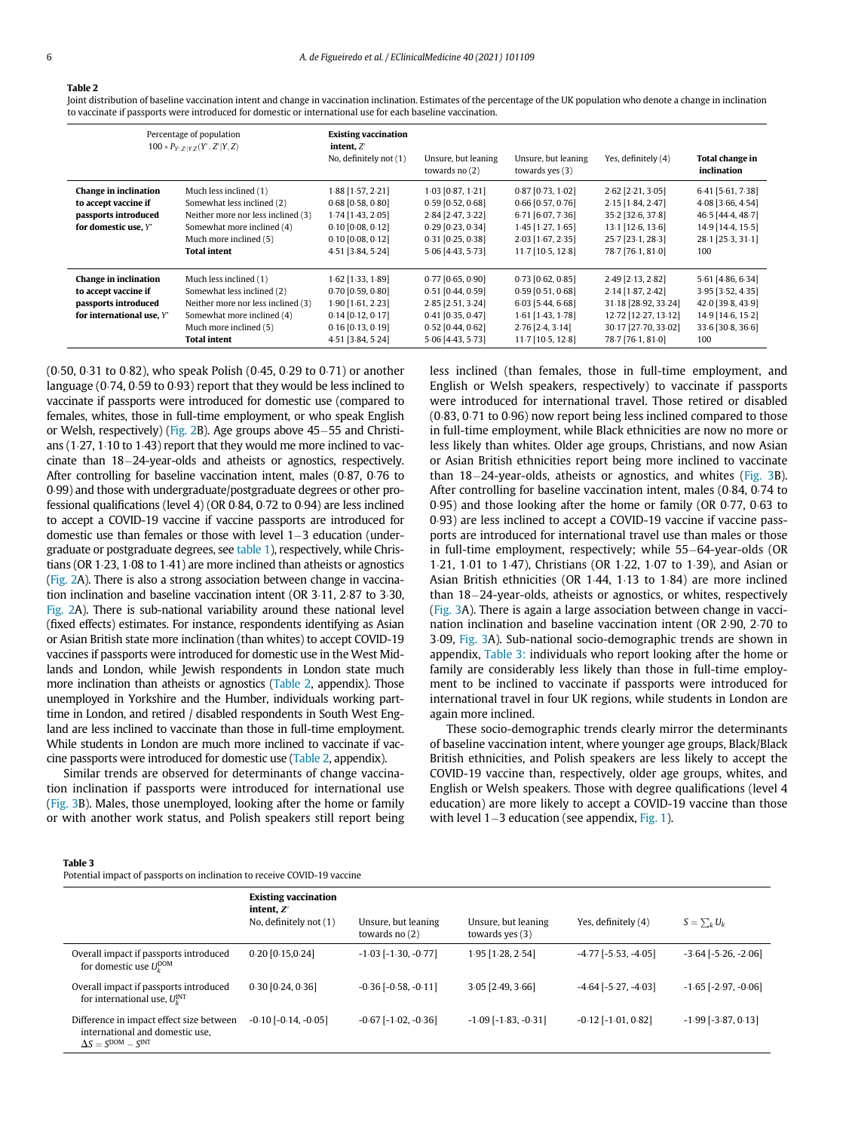### <span id="page-5-0"></span>Table 2

Joint distribution of baseline vaccination intent and change in vaccination inclination. Estimates of the percentage of the UK population who denote a change in inclination to vaccinate if passports were introduced for domestic or international use for each baseline vaccination.

|                                                                                                    | Percentage of population<br>$100 * P_{Y'Z' YZ}(Y', Z' Y, Z)$                                                                                                              | <b>Existing vaccination</b><br>intent, $Z'$<br>No, definitely not (1)                                                                | Unsure, but leaning<br>towards no $(2)$                                                                                            | Unsure, but leaning<br>towards yes $(3)$                                                                                          | Yes, definitely (4)                                                                                                                   | Total change in<br>inclination                                                                                 |
|----------------------------------------------------------------------------------------------------|---------------------------------------------------------------------------------------------------------------------------------------------------------------------------|--------------------------------------------------------------------------------------------------------------------------------------|------------------------------------------------------------------------------------------------------------------------------------|-----------------------------------------------------------------------------------------------------------------------------------|---------------------------------------------------------------------------------------------------------------------------------------|----------------------------------------------------------------------------------------------------------------|
| Change in inclination<br>to accept vaccine if<br>passports introduced<br>for domestic use. Y'      | Much less inclined (1)<br>Somewhat less inclined (2)<br>Neither more nor less inclined (3)<br>Somewhat more inclined (4)<br>Much more inclined (5)<br><b>Total intent</b> | 1.88 [1.57, 2.21]<br>$0.68$ [0.58, 0.80]<br>$1.74$ [1.43, 2.05]<br>$0.10$ [0.08, 0.12]<br>$0.10$ [0.08, 0.12]<br>4.51 [3.84, 5.24]   | 1.03 [0.87, 1.21]<br>$0.59$ [0.52, 0.68]<br>2.84 [2.47, 3.22]<br>$0.29$ [0.23, 0.34]<br>$0.31$ [0.25, 0.38]<br>5.06 [4.43, 5.73]   | $0.87$ [0.73, 1.02]<br>$0.66$ [0.57, 0.76]<br>6.71 [6.07, 7.36]<br>$1.45$ [1.27, 1.65]<br>2.03 [1.67, 2.35]<br>11.7 [10.5, 12.8]  | $2.62$ [ $2.21, 3.05$ ]<br>$2.15$ [1.84, 2.47]<br>35.2 [32.6, 37.8]<br>13.1 [12.6, 13.6]<br>25.7 [23.1, 28.3]<br>78.7 [76.1, 81.0]    | 6.41 [5.61, 7.38]<br>$4.08$ [3.66, 4.54]<br>46.5 [44.4, 48.7]<br>14.9 [14.4, 15.5]<br>28.1 [25.3, 31.1]<br>100 |
| Change in inclination<br>to accept vaccine if<br>passports introduced<br>for international use, Y' | Much less inclined (1)<br>Somewhat less inclined (2)<br>Neither more nor less inclined (3)<br>Somewhat more inclined (4)<br>Much more inclined (5)<br><b>Total intent</b> | $1.62$ [1.33, 1.89]<br>$0.70$ [0.59, 0.80]<br>$1.90$ [1.61, 2.23]<br>$0.14$ [0.12, 0.17]<br>$0.16$ [0.13, 0.19]<br>4.51 [3.84, 5.24] | $0.77$ [0.65, 0.90]<br>$0.51$ [0.44, 0.59]<br>2.85 [2.51, 3.24]<br>$0.41$ [0.35, 0.47]<br>$0.52$ [0.44, 0.62]<br>5.06 [4.43, 5.73] | $0.73$ [0.62, 0.85]<br>$0.59$ [0.51, 0.68]<br>$6.03$ [5.44, 6.68]<br>1.61 [1.43, 1.78]<br>$2.76$ [2.4, 3.14]<br>11.7 [10.5, 12.8] | 2.49 [2.13, 2.82]<br>$2.14$ [1.87, 2.42]<br>31 18 [28 92, 33 24]<br>12.72 [12.27, 13.12]<br>30.17 [27.70, 33.02]<br>78.7 [76.1, 81.0] | 5.61 [4.86, 6.34]<br>3.95 [3.52, 4.35]<br>42.0 [39.8, 43.9]<br>14.9 [14.6, 15.2]<br>33.6 [30.8, 36.6]<br>100   |

(0 $50, 0.31$  to 0 $82$ ), who speak Polish (0 $45, 0.29$  to 0 $0.71$ ) or another language ( $0.74$ ,  $0.59$  to  $0.93$ ) report that they would be less inclined to vaccinate if passports were introduced for domestic use (compared to females, whites, those in full-time employment, or who speak English or Welsh, respectively) [\(Fig. 2](#page-6-0)B). Age groups above  $45-55$  and Christians  $(1.27, 1.10$  to  $1.43$ ) report that they would me more inclined to vaccinate than  $18-24$ -year-olds and atheists or agnostics, respectively. After controlling for baseline vaccination intent, males (0.87, 0.76 to 0¢99) and those with undergraduate/postgraduate degrees or other professional qualifications (level 4) (OR  $0.84$ ,  $0.72$  to  $0.94$ ) are less inclined to accept a COVID-19 vaccine if vaccine passports are introduced for domestic use than females or those with level  $1-3$  education (undergraduate or postgraduate degrees, see [table 1\)](#page-3-0), respectively, while Christians (OR  $1·23$ ,  $1·08$  to  $1·41$ ) are more inclined than atheists or agnostics [\(Fig. 2](#page-6-0)A). There is also a strong association between change in vaccination inclination and baseline vaccination intent (OR 3 $\cdot$ 11, 2 $\cdot$ 87 to 3 $\cdot$ 30, [Fig. 2](#page-6-0)A). There is sub-national variability around these national level (fixed effects) estimates. For instance, respondents identifying as Asian or Asian British state more inclination (than whites) to accept COVID-19 vaccines if passports were introduced for domestic use in the West Midlands and London, while Jewish respondents in London state much more inclination than atheists or agnostics [\(Table 2](#page-5-0), appendix). Those unemployed in Yorkshire and the Humber, individuals working parttime in London, and retired / disabled respondents in South West England are less inclined to vaccinate than those in full-time employment. While students in London are much more inclined to vaccinate if vaccine passports were introduced for domestic use [\(Table 2,](#page-5-0) appendix).

Similar trends are observed for determinants of change vaccination inclination if passports were introduced for international use ([Fig. 3B](#page-7-0)). Males, those unemployed, looking after the home or family or with another work status, and Polish speakers still report being less inclined (than females, those in full-time employment, and English or Welsh speakers, respectively) to vaccinate if passports were introduced for international travel. Those retired or disabled  $(0.83, 0.71$  to  $0.96)$  now report being less inclined compared to those in full-time employment, while Black ethnicities are now no more or less likely than whites. Older age groups, Christians, and now Asian or Asian British ethnicities report being more inclined to vaccinate than  $18-24$ -year-olds, atheists or agnostics, and whites [\(Fig. 3](#page-7-0)B). After controlling for baseline vaccination intent, males (0.84, 0.74 to 0.95) and those looking after the home or family (OR 0.77, 0.63 to 0.93) are less inclined to accept a COVID-19 vaccine if vaccine passports are introduced for international travel use than males or those in full-time employment, respectively; while  $55-64$ -year-olds (OR 1 $\cdot$ 21, 1 $\cdot$ 01 to 1 $\cdot$ 47), Christians (OR 1 $\cdot$ 22, 1 $\cdot$ 07 to 1 $\cdot$ 39), and Asian or Asian British ethnicities (OR  $1.44$ ,  $1.13$  to  $1.84$ ) are more inclined than 18-24-year-olds, atheists or agnostics, or whites, respectively ([Fig. 3](#page-7-0)A). There is again a large association between change in vaccination inclination and baseline vaccination intent (OR 2.90, 2.70 to 3 $0.09$ , [Fig. 3](#page-7-0)A). Sub-national socio-demographic trends are shown in appendix, [Table 3:](#page-5-1) individuals who report looking after the home or family are considerably less likely than those in full-time employment to be inclined to vaccinate if passports were introduced for international travel in four UK regions, while students in London are again more inclined.

These socio-demographic trends clearly mirror the determinants of baseline vaccination intent, where younger age groups, Black/Black British ethnicities, and Polish speakers are less likely to accept the COVID-19 vaccine than, respectively, older age groups, whites, and English or Welsh speakers. Those with degree qualifications (level 4 education) are more likely to accept a COVID-19 vaccine than those with level  $1-3$  education (see appendix, [Fig. 1\)](#page-2-0).

#### <span id="page-5-1"></span>Table 3

Potential impact of passports on inclination to receive COVID-19 vaccine

|                                                                                                               | <b>Existing vaccination</b><br>intent. $Z'$<br>No, definitely not (1) | Unsure, but leaning<br>towards $no(2)$ | Unsure, but leaning<br>towards yes $(3)$ | Yes, definitely (4)           | $S = \sum_{k} U_k$            |
|---------------------------------------------------------------------------------------------------------------|-----------------------------------------------------------------------|----------------------------------------|------------------------------------------|-------------------------------|-------------------------------|
| Overall impact if passports introduced<br>for domestic use $U_{\nu}^{\text{DOM}}$                             | $0.20$ [0.15,0.24]                                                    | $-1.03$ [ $-1.30$ , $-0.77$ ]          | $1.95$ [1.28, 2.54]                      | $-4.77$ [ $-5.53$ , $-4.05$ ] | $-3.64$ [ $-5.26$ , $-2.06$ ] |
| Overall impact if passports introduced<br>for international use, $U_k^{\text{INT}}$                           | $0.30$ [0.24, 0.36]                                                   | $-0.36$ [ $-0.58$ , $-0.11$ ]          | $3.05$ [2.49, 3.66]                      | $-4.64$ [ $-5.27$ , $-4.03$ ] | $-1.65$ [ $-2.97$ , $-0.06$ ] |
| Difference in impact effect size between<br>international and domestic use,<br>$\Delta S = S^{DOM} - S^{INT}$ | $-0.10$ [ $-0.14$ , $-0.05$ ]                                         | $-0.67$ [ $-1.02$ , $-0.36$ ]          | $-1.09$ [ $-1.83$ , $-0.31$ ]            | $-0.12$ [ $-1.01$ , $0.82$ ]  | $-1.99$ [ $-3.87, 0.13$ ]     |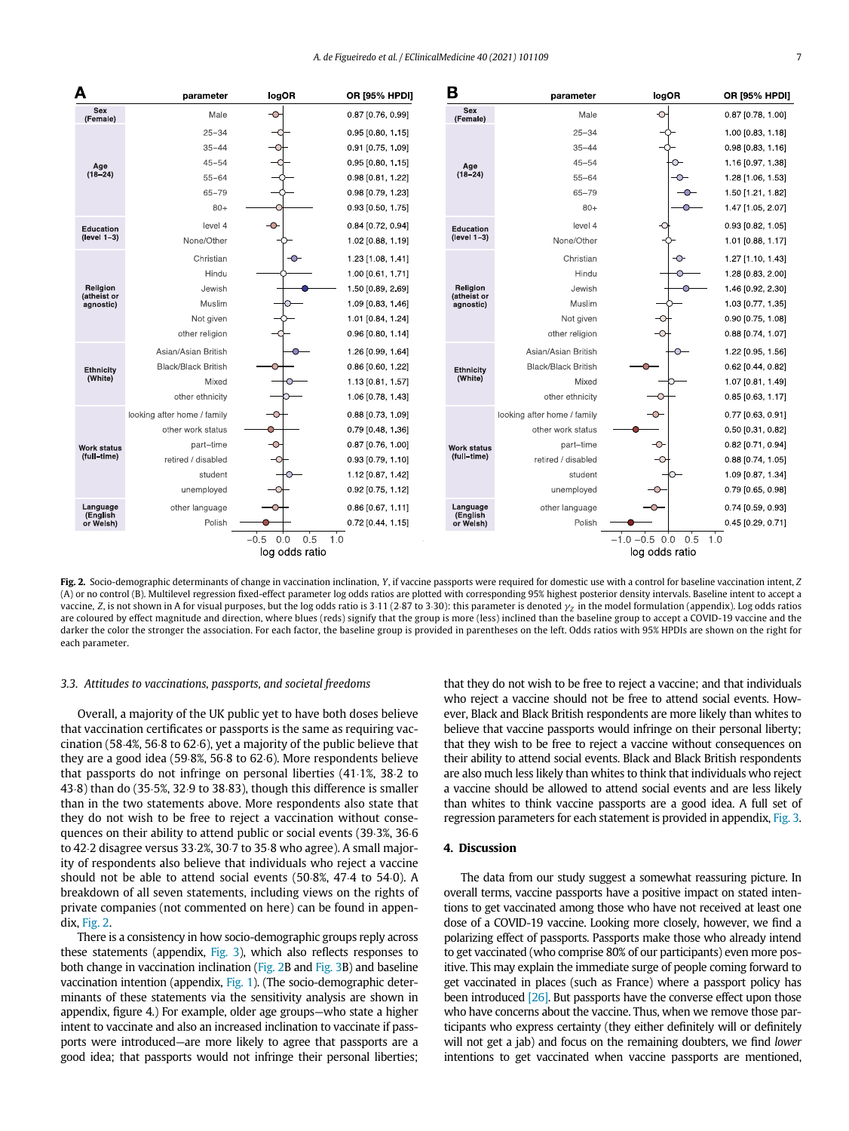<span id="page-6-0"></span>

Fig. 2. Socio-demographic determinants of change in vaccination inclination, Y, if vaccine passports were required for domestic use with a control for baseline vaccination intent, Z (A) or no control (B). Multilevel regression fixed-effect parameter log odds ratios are plotted with corresponding 95% highest posterior density intervals. Baseline intent to accept a vaccine, Z, is not shown in A for visual purposes, but the log odds ratio is 3:11 (2:87 to 3:30): this parameter is denoted  $\gamma$ <sub>Z</sub> in the model formulation (appendix). Log odds ratios are coloured by effect magnitude and direction, where blues (reds) signify that the group is more (less) inclined than the baseline group to accept a COVID-19 vaccine and the darker the color the stronger the association. For each factor, the baseline group is provided in parentheses on the left. Odds ratios with 95% HPDIs are shown on the right for each parameter.

#### 3.3. Attitudes to vaccinations, passports, and societal freedoms

Overall, a majority of the UK public yet to have both doses believe that vaccination certificates or passports is the same as requiring vaccination (58.4%, 56 $\cdot$ 8 to 62 $\cdot$ 6), yet a majority of the public believe that they are a good idea (59.8%, 56.8 to 62.6). More respondents believe that passports do not infringe on personal liberties  $(41.1\%$ , 38.2 to 43¢8) than do (35¢5%, 32¢9 to 38¢83), though this difference is smaller than in the two statements above. More respondents also state that they do not wish to be free to reject a vaccination without consequences on their ability to attend public or social events (39.3%, 36.6) to 42 $\cdot$ 2 disagree versus 33 $\cdot$ 2%, 30 $\cdot$ 7 to 35 $\cdot$ 8 who agree). A small majority of respondents also believe that individuals who reject a vaccine should not be able to attend social events  $(50.8\%, 47.4$  to  $54.0)$ . A breakdown of all seven statements, including views on the rights of private companies (not commented on here) can be found in appendix, [Fig. 2.](#page-6-0)

There is a consistency in how socio-demographic groups reply across these statements (appendix, [Fig. 3\)](#page-7-0), which also reflects responses to both change in vaccination inclination [\(Fig. 2B](#page-6-0) and [Fig. 3B](#page-7-0)) and baseline vaccination intention (appendix, [Fig. 1\)](#page-2-0). (The socio-demographic determinants of these statements via the sensitivity analysis are shown in appendix, figure 4.) For example, older age groups—who state a higher intent to vaccinate and also an increased inclination to vaccinate if passports were introduced—are more likely to agree that passports are a good idea; that passports would not infringe their personal liberties; that they do not wish to be free to reject a vaccine; and that individuals who reject a vaccine should not be free to attend social events. However, Black and Black British respondents are more likely than whites to believe that vaccine passports would infringe on their personal liberty; that they wish to be free to reject a vaccine without consequences on their ability to attend social events. Black and Black British respondents are also much less likely than whites to think that individuals who reject a vaccine should be allowed to attend social events and are less likely than whites to think vaccine passports are a good idea. A full set of regression parameters for each statement is provided in appendix, [Fig. 3.](#page-7-0)

#### 4. Discussion

The data from our study suggest a somewhat reassuring picture. In overall terms, vaccine passports have a positive impact on stated intentions to get vaccinated among those who have not received at least one dose of a COVID-19 vaccine. Looking more closely, however, we find a polarizing effect of passports. Passports make those who already intend to get vaccinated (who comprise 80% of our participants) even more positive. This may explain the immediate surge of people coming forward to get vaccinated in places (such as France) where a passport policy has been introduced [\[26\].](#page-9-21) But passports have the converse effect upon those who have concerns about the vaccine. Thus, when we remove those participants who express certainty (they either definitely will or definitely will not get a jab) and focus on the remaining doubters, we find lower intentions to get vaccinated when vaccine passports are mentioned,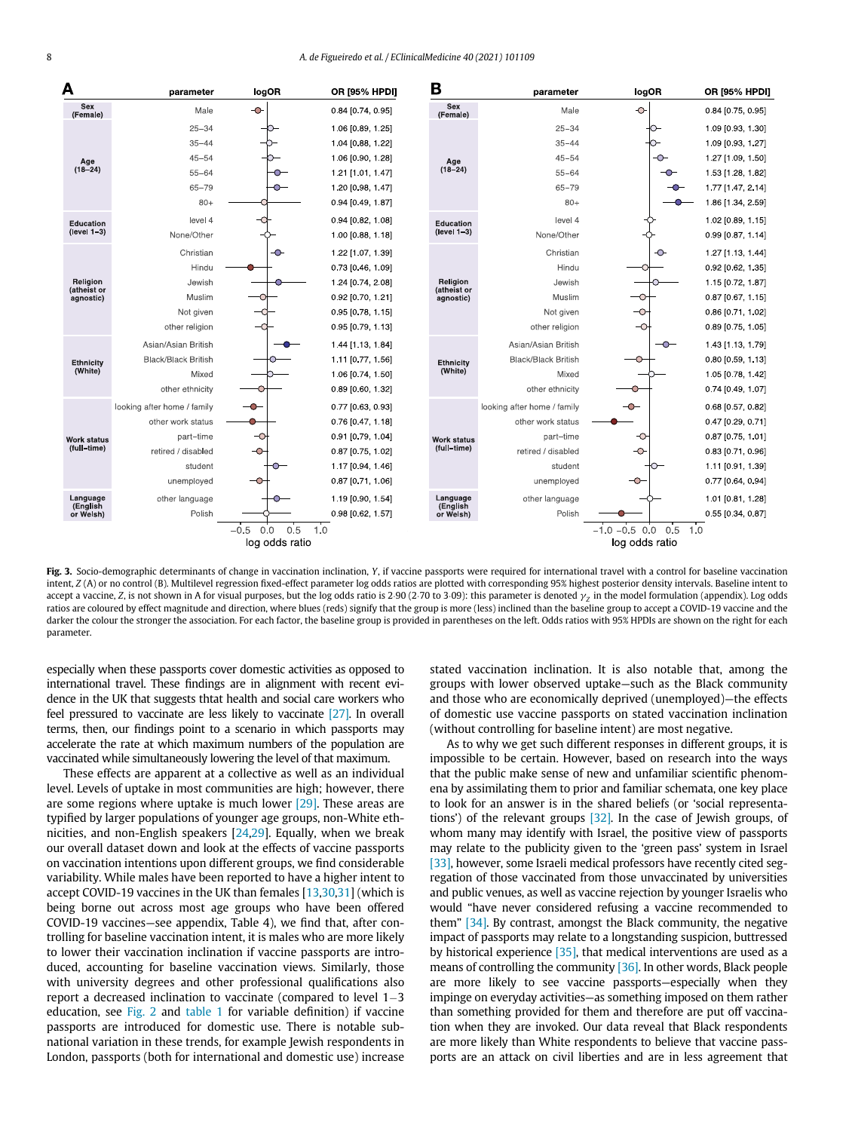<span id="page-7-0"></span>

Fig. 3. Socio-demographic determinants of change in vaccination inclination, Y, if vaccine passports were required for international travel with a control for baseline vaccination intent, Z (A) or no control (B). Multilevel regression fixed-effect parameter log odds ratios are plotted with corresponding 95% highest posterior density intervals. Baseline intent to accept a vaccine, Z, is not shown in A for visual purposes, but the log odds ratio is 2.90 (2.70 to 3.09): this parameter is denoted  $\gamma$  in the model formulation (appendix). Log odds ratios are coloured by effect magnitude and direction, where blues (reds) signify that the group is more (less) inclined than the baseline group to accept a COVID-19 vaccine and the darker the colour the stronger the association. For each factor, the baseline group is provided in parentheses on the left. Odds ratios with 95% HPDIs are shown on the right for each parameter.

especially when these passports cover domestic activities as opposed to international travel. These findings are in alignment with recent evidence in the UK that suggests thtat health and social care workers who feel pressured to vaccinate are less likely to vaccinate [\[27\].](#page-9-22) In overall terms, then, our findings point to a scenario in which passports may accelerate the rate at which maximum numbers of the population are vaccinated while simultaneously lowering the level of that maximum.

These effects are apparent at a collective as well as an individual level. Levels of uptake in most communities are high; however, there are some regions where uptake is much lower [\[29\]](#page-9-23). These areas are typified by larger populations of younger age groups, non-White ethnicities, and non-English speakers [\[24](#page-9-24)[,29\]](#page-9-23). Equally, when we break our overall dataset down and look at the effects of vaccine passports on vaccination intentions upon different groups, we find considerable variability. While males have been reported to have a higher intent to accept COVID-19 vaccines in the UK than females [[13](#page-9-10),[30](#page-9-25),[31\]](#page-9-26) (which is being borne out across most age groups who have been offered COVID-19 vaccines—see appendix, Table 4), we find that, after controlling for baseline vaccination intent, it is males who are more likely to lower their vaccination inclination if vaccine passports are introduced, accounting for baseline vaccination views. Similarly, those with university degrees and other professional qualifications also report a decreased inclination to vaccinate (compared to level  $1-3$ education, see [Fig. 2](#page-6-0) and [table 1](#page-3-0) for variable definition) if vaccine passports are introduced for domestic use. There is notable subnational variation in these trends, for example Jewish respondents in London, passports (both for international and domestic use) increase stated vaccination inclination. It is also notable that, among the groups with lower observed uptake—such as the Black community and those who are economically deprived (unemployed)—the effects of domestic use vaccine passports on stated vaccination inclination (without controlling for baseline intent) are most negative.

As to why we get such different responses in different groups, it is impossible to be certain. However, based on research into the ways that the public make sense of new and unfamiliar scientific phenomena by assimilating them to prior and familiar schemata, one key place to look for an answer is in the shared beliefs (or 'social representations') of the relevant groups [\[32\].](#page-9-27) In the case of Jewish groups, of whom many may identify with Israel, the positive view of passports may relate to the publicity given to the 'green pass' system in Israel [\[33\]](#page-9-28), however, some Israeli medical professors have recently cited segregation of those vaccinated from those unvaccinated by universities and public venues, as well as vaccine rejection by younger Israelis who would "have never considered refusing a vaccine recommended to them" [\[34\]](#page-9-29). By contrast, amongst the Black community, the negative impact of passports may relate to a longstanding suspicion, buttressed by historical experience  $[35]$ , that medical interventions are used as a means of controlling the community [\[36\].](#page-9-31) In other words, Black people are more likely to see vaccine passports—especially when they impinge on everyday activities—as something imposed on them rather than something provided for them and therefore are put off vaccination when they are invoked. Our data reveal that Black respondents are more likely than White respondents to believe that vaccine passports are an attack on civil liberties and are in less agreement that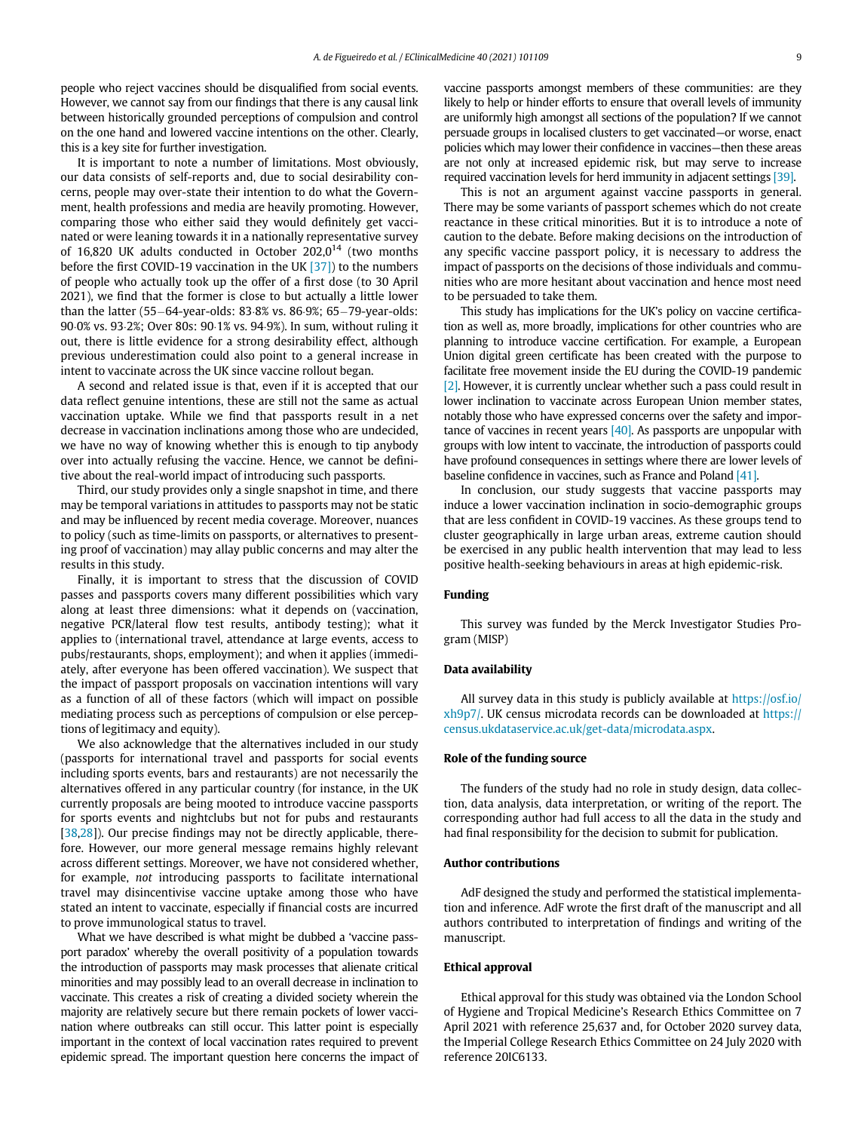people who reject vaccines should be disqualified from social events. However, we cannot say from our findings that there is any causal link between historically grounded perceptions of compulsion and control on the one hand and lowered vaccine intentions on the other. Clearly, this is a key site for further investigation.

It is important to note a number of limitations. Most obviously, our data consists of self-reports and, due to social desirability concerns, people may over-state their intention to do what the Government, health professions and media are heavily promoting. However, comparing those who either said they would definitely get vaccinated or were leaning towards it in a nationally representative survey of 16,820 UK adults conducted in October 202,0<sup>14</sup> (two months before the first COVID-19 vaccination in the UK [\[37\]](#page-9-32)) to the numbers of people who actually took up the offer of a first dose (to 30 April 2021), we find that the former is close to but actually a little lower than the latter (55-64-year-olds: 83 $8%88$  vs. 86 $\cdot$ 9%; 65-79-year-olds: 90 $0\%$  vs. 93 $2\%$ ; Over 80s: 90 $1\%$  vs. 94 $9\%$ ). In sum, without ruling it out, there is little evidence for a strong desirability effect, although previous underestimation could also point to a general increase in intent to vaccinate across the UK since vaccine rollout began.

A second and related issue is that, even if it is accepted that our data reflect genuine intentions, these are still not the same as actual vaccination uptake. While we find that passports result in a net decrease in vaccination inclinations among those who are undecided, we have no way of knowing whether this is enough to tip anybody over into actually refusing the vaccine. Hence, we cannot be definitive about the real-world impact of introducing such passports.

Third, our study provides only a single snapshot in time, and there may be temporal variations in attitudes to passports may not be static and may be influenced by recent media coverage. Moreover, nuances to policy (such as time-limits on passports, or alternatives to presenting proof of vaccination) may allay public concerns and may alter the results in this study.

Finally, it is important to stress that the discussion of COVID passes and passports covers many different possibilities which vary along at least three dimensions: what it depends on (vaccination, negative PCR/lateral flow test results, antibody testing); what it applies to (international travel, attendance at large events, access to pubs/restaurants, shops, employment); and when it applies (immediately, after everyone has been offered vaccination). We suspect that the impact of passport proposals on vaccination intentions will vary as a function of all of these factors (which will impact on possible mediating process such as perceptions of compulsion or else perceptions of legitimacy and equity).

We also acknowledge that the alternatives included in our study (passports for international travel and passports for social events including sports events, bars and restaurants) are not necessarily the alternatives offered in any particular country (for instance, in the UK currently proposals are being mooted to introduce vaccine passports for sports events and nightclubs but not for pubs and restaurants [\[38](#page-9-33)[,28](#page-9-34)]). Our precise findings may not be directly applicable, therefore. However, our more general message remains highly relevant across different settings. Moreover, we have not considered whether, for example, not introducing passports to facilitate international travel may disincentivise vaccine uptake among those who have stated an intent to vaccinate, especially if financial costs are incurred to prove immunological status to travel.

What we have described is what might be dubbed a 'vaccine passport paradox' whereby the overall positivity of a population towards the introduction of passports may mask processes that alienate critical minorities and may possibly lead to an overall decrease in inclination to vaccinate. This creates a risk of creating a divided society wherein the majority are relatively secure but there remain pockets of lower vaccination where outbreaks can still occur. This latter point is especially important in the context of local vaccination rates required to prevent epidemic spread. The important question here concerns the impact of vaccine passports amongst members of these communities: are they likely to help or hinder efforts to ensure that overall levels of immunity are uniformly high amongst all sections of the population? If we cannot persuade groups in localised clusters to get vaccinated—or worse, enact policies which may lower their confidence in vaccines—then these areas are not only at increased epidemic risk, but may serve to increase required vaccination levels for herd immunity in adjacent settings [\[39\].](#page-9-35)

This is not an argument against vaccine passports in general. There may be some variants of passport schemes which do not create reactance in these critical minorities. But it is to introduce a note of caution to the debate. Before making decisions on the introduction of any specific vaccine passport policy, it is necessary to address the impact of passports on the decisions of those individuals and communities who are more hesitant about vaccination and hence most need to be persuaded to take them.

This study has implications for the UK's policy on vaccine certification as well as, more broadly, implications for other countries who are planning to introduce vaccine certification. For example, a European Union digital green certificate has been created with the purpose to facilitate free movement inside the EU during the COVID-19 pandemic [\[2\]](#page-9-1). However, it is currently unclear whether such a pass could result in lower inclination to vaccinate across European Union member states, notably those who have expressed concerns over the safety and importance of vaccines in recent years [\[40\].](#page-9-36) As passports are unpopular with groups with low intent to vaccinate, the introduction of passports could have profound consequences in settings where there are lower levels of baseline confidence in vaccines, such as France and Poland [\[41\].](#page-9-37)

In conclusion, our study suggests that vaccine passports may induce a lower vaccination inclination in socio-demographic groups that are less confident in COVID-19 vaccines. As these groups tend to cluster geographically in large urban areas, extreme caution should be exercised in any public health intervention that may lead to less positive health-seeking behaviours in areas at high epidemic-risk.

#### Funding

This survey was funded by the Merck Investigator Studies Program (MISP)

#### Data availability

All survey data in this study is publicly available at [https://osf.io/](https://osf.io/xh9p7/) [xh9p7/](https://osf.io/xh9p7/). UK census microdata records can be downloaded at [https://](https://census.ukdataservice.ac.uk/get-data/microdata.aspx) [census.ukdataservice.ac.uk/get-data/microdata.aspx.](https://census.ukdataservice.ac.uk/get-data/microdata.aspx)

#### Role of the funding source

The funders of the study had no role in study design, data collection, data analysis, data interpretation, or writing of the report. The corresponding author had full access to all the data in the study and had final responsibility for the decision to submit for publication.

#### Author contributions

AdF designed the study and performed the statistical implementation and inference. AdF wrote the first draft of the manuscript and all authors contributed to interpretation of findings and writing of the manuscript.

#### Ethical approval

Ethical approval for this study was obtained via the London School of Hygiene and Tropical Medicine's Research Ethics Committee on 7 April 2021 with reference 25,637 and, for October 2020 survey data, the Imperial College Research Ethics Committee on 24 July 2020 with reference 20IC6133.